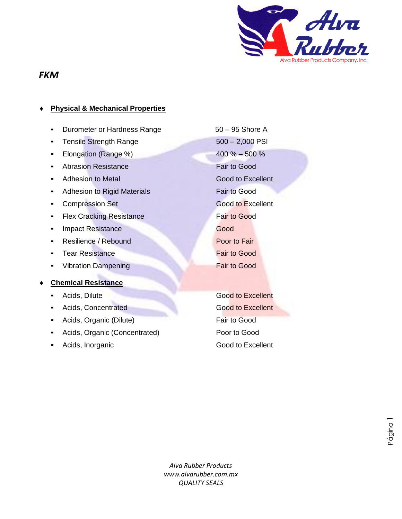

### *FKM*

### **Physical & Mechanical Properties**

- Durometer or Hardness Range 50 95 Shore A
- Tensile Strength Range 500 2,000 PSI
- Elongation (Range %) 400 % 500 %
- Abrasion Resistance Fair to Good
- Adhesion to Metal Good to Excellent
- **Adhesion to Rigid Materials Fair to Good**
- **Compression Set Good to Excellent**
- **EXA** Flex Cracking Resistance **Fair to Good**
- **Example 2** Impact Resistance Good
- **Resilience / Rebound Poor to Fair**
- **Example 2** Tear Resistance **Fair to Good**
- **Vibration Dampening Fair to Good**

#### **Chemical Resistance**

- 
- **Reduction Acids, Concentrated Good to Excellent**
- Acids, Organic (Dilute) **Fair to Good**
- Acids, Organic (Concentrated) Poor to Good
- 

**Reading Acids, Dilute Cooperation Cooperation Cooperation Cooperation Cooperation Cooperation Cooperation Cooperation Cooperation Cooperation Cooperation Cooperation Cooperation Cooperation Cooperation Cooperation Coopera** Acids, Inorganic **Good to Excellent** 

Página 1

*Alva Rubber Products www.alvarubber.com.mx QUALITY SEALS* bbe<br>Y S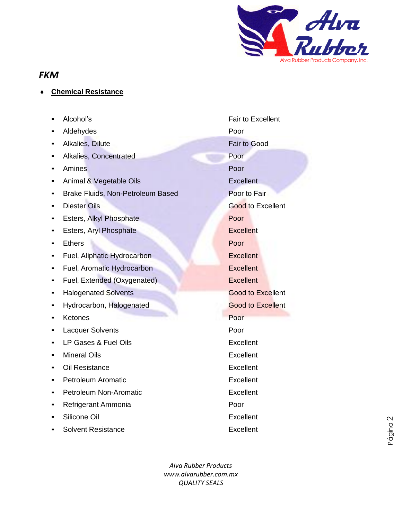

# *FKM*

- **Chemical Resistance**
	- Alcohol's **Fair to Excellent**
	- Aldehydes **Poor**
	- **Example 5 Alkalies, Dilute Fair to Good**
	- **Alkalies, Concentrated Poor**
	- Amines Poor
	- **Animal & Vegetable Oils Excellent**
	- **Brake Fluids, Non-Petroleum Based Poor to Fair**
	- **Diester Oils Good to Excellent**
	- **Exters, Alkyl Phosphate Poor**
	- **Esters, Aryl Phosphate** Excellent
	- Ethers Poor
	- **EXCELLENT Fuel, Aliphatic Hydrocarbon** Excellent
	- **EXCELLENT Fuel, Aromatic Hydrocarbon** Excellent
	- **•** Fuel, Extended (Oxygenated) **Excellent**
	- **Halogenated Solvents Good to Excellent**
	- **Excellent Hydrocarbon, Halogenated Cood to Excellent**
	- **Exercise Seconds** Retones **Poor**
	- **Lacquer Solvents Poor**
	- LP Gases & Fuel Oils **Excellent**
	- **Mineral Oils Excellent**
	- Oil Resistance **Excellent**
	- **•** Petroleum Aromatic **Excellent**
	- **•** Petroleum Non-Aromatic **Excellent**
	- **Refrigerant Ammonia Poor**
	- Silicone Oil **Excellent**
	- **Solvent Resistance** Excellent

*Alva Rubber Products www.alvarubber.com.mx QUALITY SEALS* bbe<br>Y S